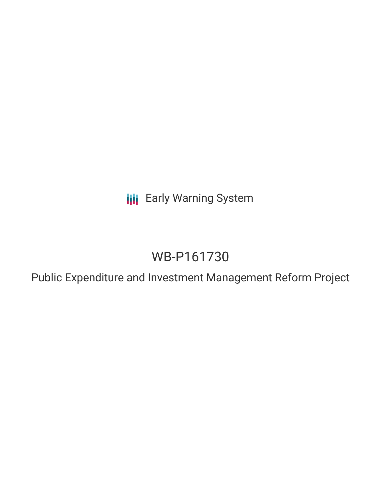**III** Early Warning System

# WB-P161730

Public Expenditure and Investment Management Reform Project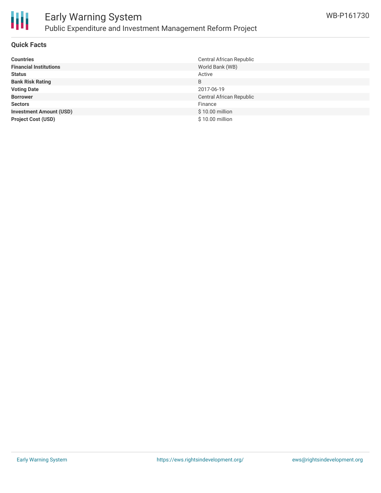

# Early Warning System Public Expenditure and Investment Management Reform Project

## **Quick Facts**

| <b>Countries</b>               | Central African Republic |
|--------------------------------|--------------------------|
| <b>Financial Institutions</b>  | World Bank (WB)          |
| <b>Status</b>                  | Active                   |
| <b>Bank Risk Rating</b>        | B                        |
| <b>Voting Date</b>             | 2017-06-19               |
| <b>Borrower</b>                | Central African Republic |
| <b>Sectors</b>                 | Finance                  |
| <b>Investment Amount (USD)</b> | \$10.00 million          |
| <b>Project Cost (USD)</b>      | \$10.00 million          |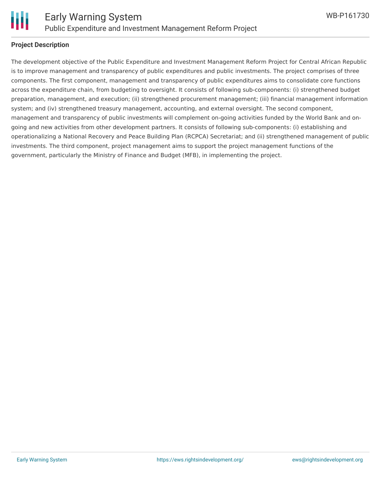

#### **Project Description**

The development objective of the Public Expenditure and Investment Management Reform Project for Central African Republic is to improve management and transparency of public expenditures and public investments. The project comprises of three components. The first component, management and transparency of public expenditures aims to consolidate core functions across the expenditure chain, from budgeting to oversight. It consists of following sub-components: (i) strengthened budget preparation, management, and execution; (ii) strengthened procurement management; (iii) financial management information system; and (iv) strengthened treasury management, accounting, and external oversight. The second component, management and transparency of public investments will complement on-going activities funded by the World Bank and ongoing and new activities from other development partners. It consists of following sub-components: (i) establishing and operationalizing a National Recovery and Peace Building Plan (RCPCA) Secretariat; and (ii) strengthened management of public investments. The third component, project management aims to support the project management functions of the government, particularly the Ministry of Finance and Budget (MFB), in implementing the project.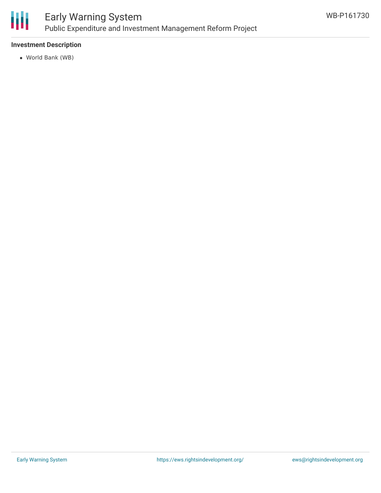

## Early Warning System Public Expenditure and Investment Management Reform Project

## **Investment Description**

World Bank (WB)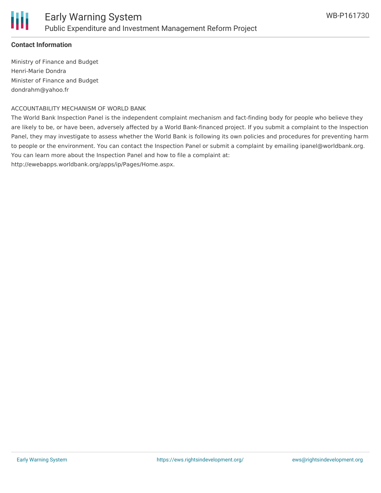## **Contact Information**

Ministry of Finance and Budget Henri-Marie Dondra Minister of Finance and Budget dondrahm@yahoo.fr

#### ACCOUNTABILITY MECHANISM OF WORLD BANK

The World Bank Inspection Panel is the independent complaint mechanism and fact-finding body for people who believe they are likely to be, or have been, adversely affected by a World Bank-financed project. If you submit a complaint to the Inspection Panel, they may investigate to assess whether the World Bank is following its own policies and procedures for preventing harm to people or the environment. You can contact the Inspection Panel or submit a complaint by emailing ipanel@worldbank.org. You can learn more about the Inspection Panel and how to file a complaint at:

http://ewebapps.worldbank.org/apps/ip/Pages/Home.aspx.